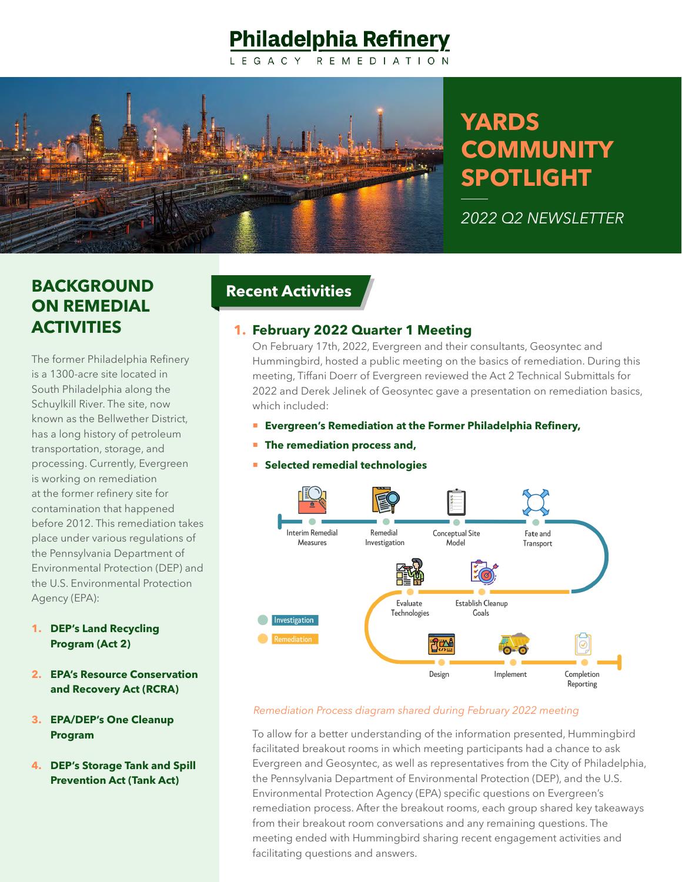## **Philadelphia Refinery**



# **YARDS COMMUNITY SPOTLIGHT**

*2022 Q2 NEWSLETTER*

## **BACKGROUND ON REMEDIAL ACTIVITIES**

The former Philadelphia Refinery is a 1300-acre site located in South Philadelphia along the Schuylkill River. The site, now known as the Bellwether District, has a long history of petroleum transportation, storage, and processing. Currently, Evergreen is working on remediation at the former refinery site for contamination that happened before 2012. This remediation takes place under various regulations of the Pennsylvania Department of Environmental Protection (DEP) and the U.S. Environmental Protection Agency (EPA):

- **1. DEP's Land Recycling Program (Act 2)**
- **2. EPA's Resource Conservation and Recovery Act (RCRA)**
- **3. EPA/DEP's One Cleanup Program**
- **4. DEP's Storage Tank and Spill Prevention Act (Tank Act)**

#### **Recent Activities**

#### **1. February 2022 Quarter 1 Meeting**

On February 17th, 2022, Evergreen and their consultants, Geosyntec and Hummingbird, hosted a public meeting on the basics of remediation. During this meeting, Tiffani Doerr of Evergreen reviewed the Act 2 Technical Submittals for 2022 and Derek Jelinek of Geosyntec gave a presentation on remediation basics, which included:

- **Evergreen's Remediation at the Former Philadelphia Refinery,**
- **The remediation process and,**
- **Selected remedial technologies**



#### *Remediation Process diagram shared during February 2022 meeting*

To allow for a better understanding of the information presented, Hummingbird facilitated breakout rooms in which meeting participants had a chance to ask Evergreen and Geosyntec, as well as representatives from the City of Philadelphia, the Pennsylvania Department of Environmental Protection (DEP), and the U.S. Environmental Protection Agency (EPA) specific questions on Evergreen's remediation process. After the breakout rooms, each group shared key takeaways from their breakout room conversations and any remaining questions. The meeting ended with Hummingbird sharing recent engagement activities and facilitating questions and answers.